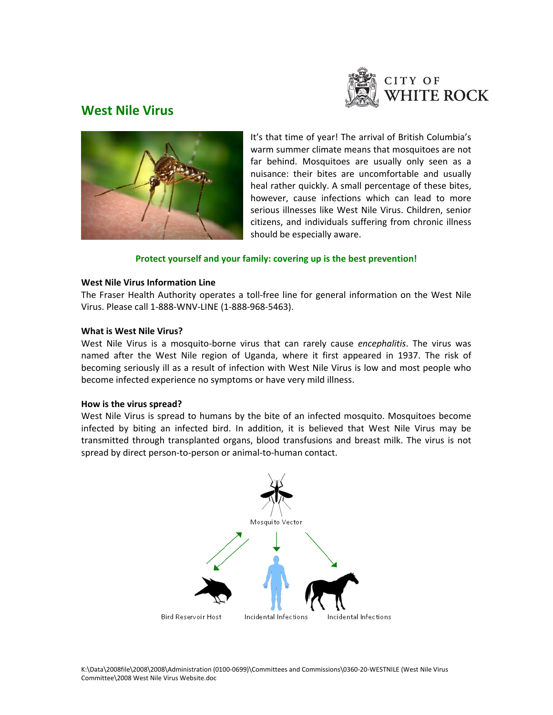

# **West Nile Virus**



It's that time of year! The arrival of British Columbia's warm summer climate means that mosquitoes are not far behind. Mosquitoes are usually only seen as a nuisance: their bites are uncomfortable and usually heal rather quickly. A small percentage of these bites, however, cause infections which can lead to more serious illnesses like West Nile Virus. Children, senior citizens, and individuals suffering from chronic illness should be especially aware.

# **Protect yourself and your family: covering up is the best prevention!**

#### **West Nile Virus Information Line**

The Fraser Health Authority operates a toll‐free line for general information on the West Nile Virus. Please call 1‐888‐WNV‐LINE (1‐888‐968‐5463).

#### **What is West Nile Virus?**

West Nile Virus is a mosquito‐borne virus that can rarely cause *encephalitis*. The virus was named after the West Nile region of Uganda, where it first appeared in 1937. The risk of becoming seriously ill as a result of infection with West Nile Virus is low and most people who become infected experience no symptoms or have very mild illness.

#### **How is the virus spread?**

West Nile Virus is spread to humans by the bite of an infected mosquito. Mosquitoes become infected by biting an infected bird. In addition, it is believed that West Nile Virus may be transmitted through transplanted organs, blood transfusions and breast milk. The virus is not spread by direct person-to-person or animal-to-human contact.

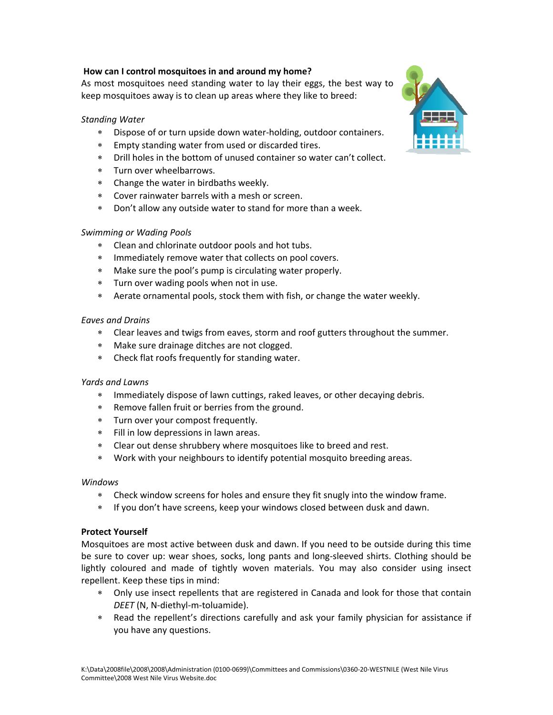# **How can I control mosquitoes in and around my home?**

As most mosquitoes need standing water to lay their eggs, the best way to keep mosquitoes away is to clean up areas where they like to breed:

## *Standing Water*

- ∗ Dispose of or turn upside down water‐holding, outdoor containers.
- ∗ Empty standing water from used or discarded tires.
- ∗ Drill holes in the bottom of unused container so water can't collect.
- ∗ Turn over wheelbarrows.
- ∗ Change the water in birdbaths weekly.
- ∗ Cover rainwater barrels with a mesh or screen.
- ∗ Don't allow any outside water to stand for more than a week.

### *Swimming or Wading Pools*

- ∗ Clean and chlorinate outdoor pools and hot tubs.
- ∗ Immediately remove water that collects on pool covers.
- ∗ Make sure the pool's pump is circulating water properly.
- ∗ Turn over wading pools when not in use.
- ∗ Aerate ornamental pools, stock them with fish, or change the water weekly.

#### *Eaves and Drains*

- ∗ Clear leaves and twigs from eaves, storm and roof gutters throughout the summer.
- ∗ Make sure drainage ditches are not clogged.
- ∗ Check flat roofs frequently for standing water.

#### *Yards and Lawns*

- ∗ Immediately dispose of lawn cuttings, raked leaves, or other decaying debris.
- ∗ Remove fallen fruit or berries from the ground.
- ∗ Turn over your compost frequently.
- ∗ Fill in low depressions in lawn areas.
- ∗ Clear out dense shrubbery where mosquitoes like to breed and rest.
- ∗ Work with your neighbours to identify potential mosquito breeding areas.

#### *Windows*

- ∗ Check window screens for holes and ensure they fit snugly into the window frame.
- ∗ If you don't have screens, keep your windows closed between dusk and dawn.

#### **Protect Yourself**

Mosquitoes are most active between dusk and dawn. If you need to be outside during this time be sure to cover up: wear shoes, socks, long pants and long‐sleeved shirts. Clothing should be lightly coloured and made of tightly woven materials. You may also consider using insect repellent. Keep these tips in mind:

- ∗ Only use insect repellents that are registered in Canada and look for those that contain *DEET* (N, N‐diethyl‐m‐toluamide).
- ∗ Read the repellent's directions carefully and ask your family physician for assistance if you have any questions.